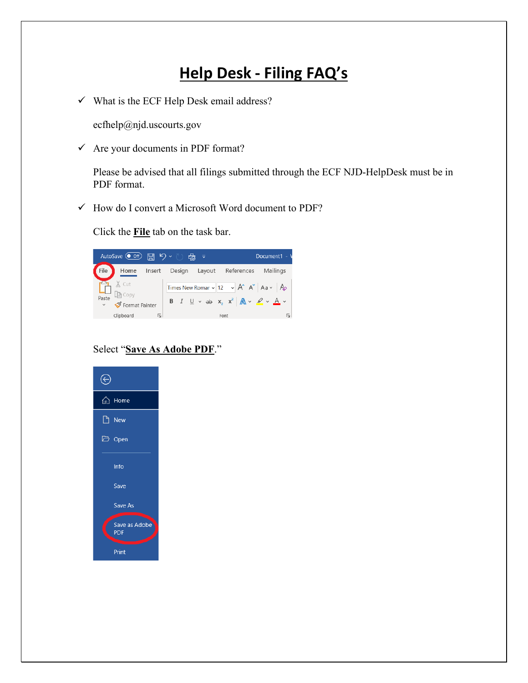## **Help Desk - Filing FAQ's**

 $\checkmark$  What is the ECF Help Desk email address?

ecfhelp@njd.uscourts.gov

 $\checkmark$  Are your documents in PDF format?

Please be advised that all filings submitted through the ECF NJD-HelpDesk must be in PDF format.

 $\checkmark$  How do I convert a Microsoft Word document to PDF?

Click the **File** tab on the task bar.



## Select "**Save As Adobe PDF**."

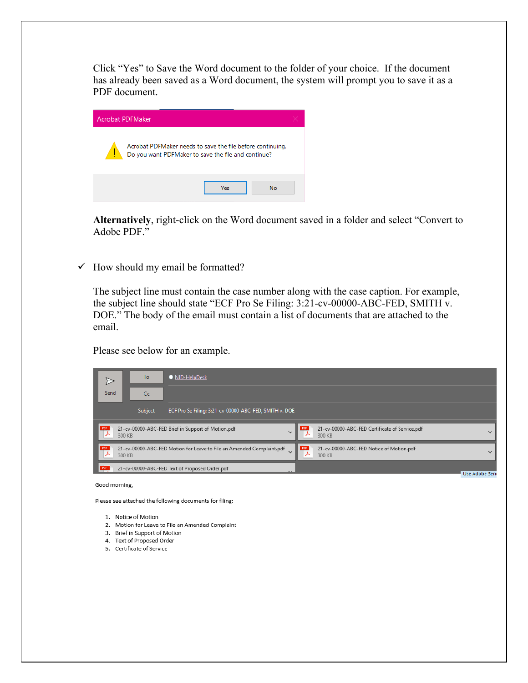Click "Yes" to Save the Word document to the folder of your choice. If the document has already been saved as a Word document, the system will prompt you to save it as a PDF document.

|                                                                                                                   | <b>Acrobat PDFMaker</b> |  |  |  |
|-------------------------------------------------------------------------------------------------------------------|-------------------------|--|--|--|
| Acrobat PDFMaker needs to save the file before continuing.<br>Do you want PDFMaker to save the file and continue? |                         |  |  |  |
|                                                                                                                   | Yes<br><b>No</b>        |  |  |  |

**Alternatively**, right-click on the Word document saved in a folder and select "Convert to Adobe PDF."

 $\checkmark$  How should my email be formatted?

The subject line must contain the case number along with the case caption. For example, the subject line should state "ECF Pro Se Filing: 3:21-cv-00000-ABC-FED, SMITH v. DOE." The body of the email must contain a list of documents that are attached to the email.

Please see below for an example.

|      | To<br>• NJD-HelpDesk |         |                                                                       |                               |          |                                                          |                       |
|------|----------------------|---------|-----------------------------------------------------------------------|-------------------------------|----------|----------------------------------------------------------|-----------------------|
| Send |                      | Cc      |                                                                       |                               |          |                                                          |                       |
|      |                      | Subject | ECF Pro Se Filing: 3:21-cv-00000-ABC-FED, SMITH v. DOE                |                               |          |                                                          |                       |
| PDF  | 300 KB               |         | 21-cv-00000-ABC-FED Brief in Support of Motion.pdf                    | $\checkmark$                  |          | 21-cv-00000-ABC-FED Certificate of Service.pdf<br>300 KB | $\checkmark$          |
| PDF  | 300 KB               |         | 21-cv-00000-ABC-FED Motion for Leave to File an Amended Complaint.pdf | $\checkmark$                  | PDF<br>↛ | 21-cv-00000-ABC-FED Notice of Motion.pdf<br>300 KB       | $\checkmark$          |
| PDF  |                      |         | 21-cv-00000-ABC-FED Text of Proposed Order.pdf                        | $\mathbf{X} \cdot \mathbf{X}$ |          |                                                          | <b>Hise Adobe Sen</b> |

Good morning,

Please see attached the following documents for filing:

- 1. Notice of Motion
- 2. Motion for Leave to File an Amended Complaint
- 3. Brief in Support of Motion
- 4. Text of Proposed Order
- 5. Certificate of Service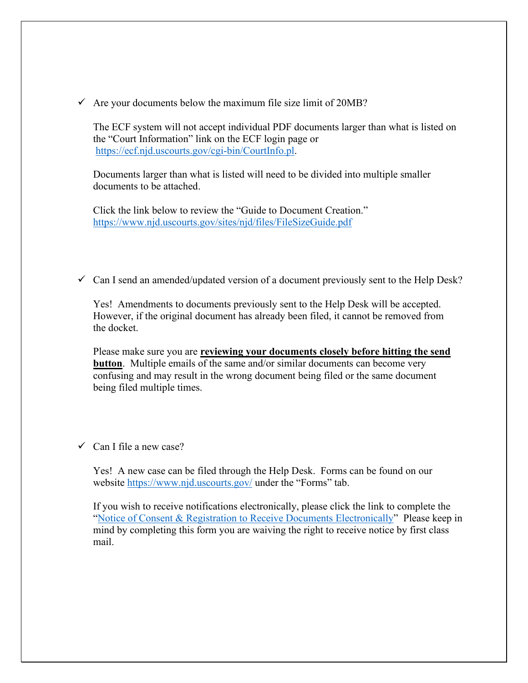$\checkmark$  Are your documents below the maximum file size limit of 20MB?

The ECF system will not accept individual PDF documents larger than what is listed on the "Court Information" link on the ECF login page or [https://ecf.njd.uscourts.gov/cgi-bin/CourtInfo.pl.](https://ecf.njd.uscourts.gov/cgi-bin/CourtInfo.pl)

Documents larger than what is listed will need to be divided into multiple smaller documents to be attached.

Click the link below to review the "Guide to Document Creation." <https://www.njd.uscourts.gov/sites/njd/files/FileSizeGuide.pdf>

 $\checkmark$  Can I send an amended/updated version of a document previously sent to the Help Desk?

Yes! Amendments to documents previously sent to the Help Desk will be accepted. However, if the original document has already been filed, it cannot be removed from the docket.

Please make sure you are **reviewing your documents closely before hitting the send button**. Multiple emails of the same and/or similar documents can become very confusing and may result in the wrong document being filed or the same document being filed multiple times.

 $\checkmark$  Can I file a new case?

Yes! A new case can be filed through the Help Desk. Forms can be found on our website<https://www.njd.uscourts.gov/> under the "Forms" tab.

If you wish to receive notifications electronically, please click the link to complete the ["Notice of Consent & Registration to Receive Documents Electronically"](https://www.njd.uscourts.gov/forms/pro-se-consent-registration-form-receive-documents-electronically) Please keep in mind by completing this form you are waiving the right to receive notice by first class mail.